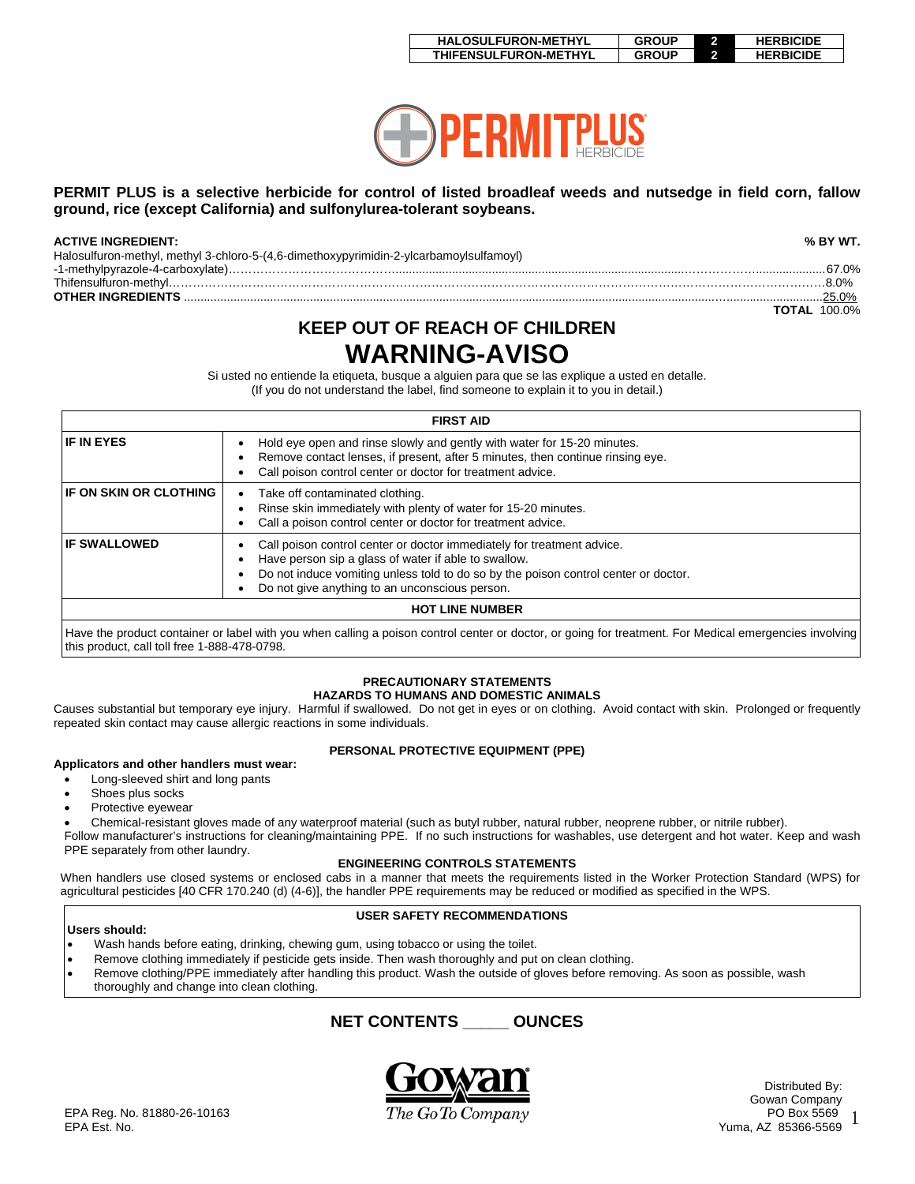| <b>HALOSULFURON-METHYL</b> | <b>GROUP</b> | <b>HERBICIDE</b> |
|----------------------------|--------------|------------------|
| THIFENSULFURON-METHYL      | <b>GROUP</b> | <b>HERBICIDE</b> |



## **PERMIT PLUS is a selective herbicide for control of listed broadleaf weeds and nutsedge in field corn, fallow ground, rice (except California) and sulfonylurea-tolerant soybeans.**

| <b>ACTIVE INGREDIENT:</b>                                                                                                                                                                                                                                                                                                                                                                                                                                                                                                                                                                                                                                                                                                                                                         | % BY WT.            |
|-----------------------------------------------------------------------------------------------------------------------------------------------------------------------------------------------------------------------------------------------------------------------------------------------------------------------------------------------------------------------------------------------------------------------------------------------------------------------------------------------------------------------------------------------------------------------------------------------------------------------------------------------------------------------------------------------------------------------------------------------------------------------------------|---------------------|
| Halosulfuron-methyl, methyl 3-chloro-5-(4,6-dimethoxypyrimidin-2-ylcarbamoylsulfamoyl)                                                                                                                                                                                                                                                                                                                                                                                                                                                                                                                                                                                                                                                                                            |                     |
|                                                                                                                                                                                                                                                                                                                                                                                                                                                                                                                                                                                                                                                                                                                                                                                   | .67.0%              |
| $This result is not a new problem. The following property holds for the following property holds. The following inequality holds for a non-trivial property holds. The following inequality holds for a non-trivial property holds. The following inequality holds for a non-trivial property holds. The following inequality holds for a non-trivial property holds. The following holds: \begin{equation*} \label{eq:constrained} \text{Trivial} \begin{equation*} \sum_{i=1}^n \alpha_i \, \text{Trivial} \begin{equation*} \begin{bmatrix} \alpha_i & \alpha_i \end{bmatrix} \, \text{Trivial} \begin{bmatrix} \alpha_i & \alpha_i \end{bmatrix} \, \text{Trivial} \begin{bmatrix} \alpha_i & \alpha_i \end{bmatrix} \, \text{Trivial} \begin{bmatrix} \alpha_i & \alpha_i \$ | $8.0\%$             |
|                                                                                                                                                                                                                                                                                                                                                                                                                                                                                                                                                                                                                                                                                                                                                                                   | $0.25.0\%$          |
|                                                                                                                                                                                                                                                                                                                                                                                                                                                                                                                                                                                                                                                                                                                                                                                   | <b>TOTAL 100.0%</b> |

# **KEEP OUT OF REACH OF CHILDREN WARNING-AVISO**

Si usted no entiende la etiqueta, busque a alguien para que se las explique a usted en detalle. (If you do not understand the label, find someone to explain it to you in detail.)

|                                              | <b>FIRST AID</b>                                                                                                                                                                                                                                                        |
|----------------------------------------------|-------------------------------------------------------------------------------------------------------------------------------------------------------------------------------------------------------------------------------------------------------------------------|
| <b>IF IN EYES</b>                            | Hold eye open and rinse slowly and gently with water for 15-20 minutes.<br>Remove contact lenses, if present, after 5 minutes, then continue rinsing eye.<br>Call poison control center or doctor for treatment advice.                                                 |
| IF ON SKIN OR CLOTHING                       | Take off contaminated clothing.<br>Rinse skin immediately with plenty of water for 15-20 minutes.<br>Call a poison control center or doctor for treatment advice.                                                                                                       |
| <b>IF SWALLOWED</b>                          | Call poison control center or doctor immediately for treatment advice.<br>Have person sip a glass of water if able to swallow.<br>Do not induce vomiting unless told to do so by the poison control center or doctor.<br>Do not give anything to an unconscious person. |
|                                              | <b>HOT LINE NUMBER</b>                                                                                                                                                                                                                                                  |
| this product, call toll free 1-888-478-0798. | Have the product container or label with you when calling a poison control center or doctor, or going for treatment. For Medical emergencies involving                                                                                                                  |

## **PRECAUTIONARY STATEMENTS**

## **HAZARDS TO HUMANS AND DOMESTIC ANIMALS**

Causes substantial but temporary eye injury. Harmful if swallowed. Do not get in eyes or on clothing. Avoid contact with skin. Prolonged or frequently repeated skin contact may cause allergic reactions in some individuals.

# **PERSONAL PROTECTIVE EQUIPMENT (PPE)**

#### **Applicators and other handlers must wear:** • Long-sleeved shirt and long pants

- Shoes plus socks
- Protective eyewear
- Chemical-resistant gloves made of any waterproof material (such as butyl rubber, natural rubber, neoprene rubber, or nitrile rubber).
- Follow manufacturer's instructions for cleaning/maintaining PPE. If no such instructions for washables, use detergent and hot water. Keep and wash PPE separately from other laundry.

## **ENGINEERING CONTROLS STATEMENTS**

When handlers use closed systems or enclosed cabs in a manner that meets the requirements listed in the Worker Protection Standard (WPS) for agricultural pesticides [40 CFR 170.240 (d) (4-6)], the handler PPE requirements may be reduced or modified as specified in the WPS.

## **USER SAFETY RECOMMENDATIONS**

- **Users should:** • Wash hands before eating, drinking, chewing gum, using tobacco or using the toilet.
- Remove clothing immediately if pesticide gets inside. Then wash thoroughly and put on clean clothing.
- Remove clothing/PPE immediately after handling this product. Wash the outside of gloves before removing. As soon as possible, wash
- thoroughly and change into clean clothing.

# **NET CONTENTS \_\_\_\_\_ OUNCES**



1 Distributed By: Gowan Company<br>PO Box 5569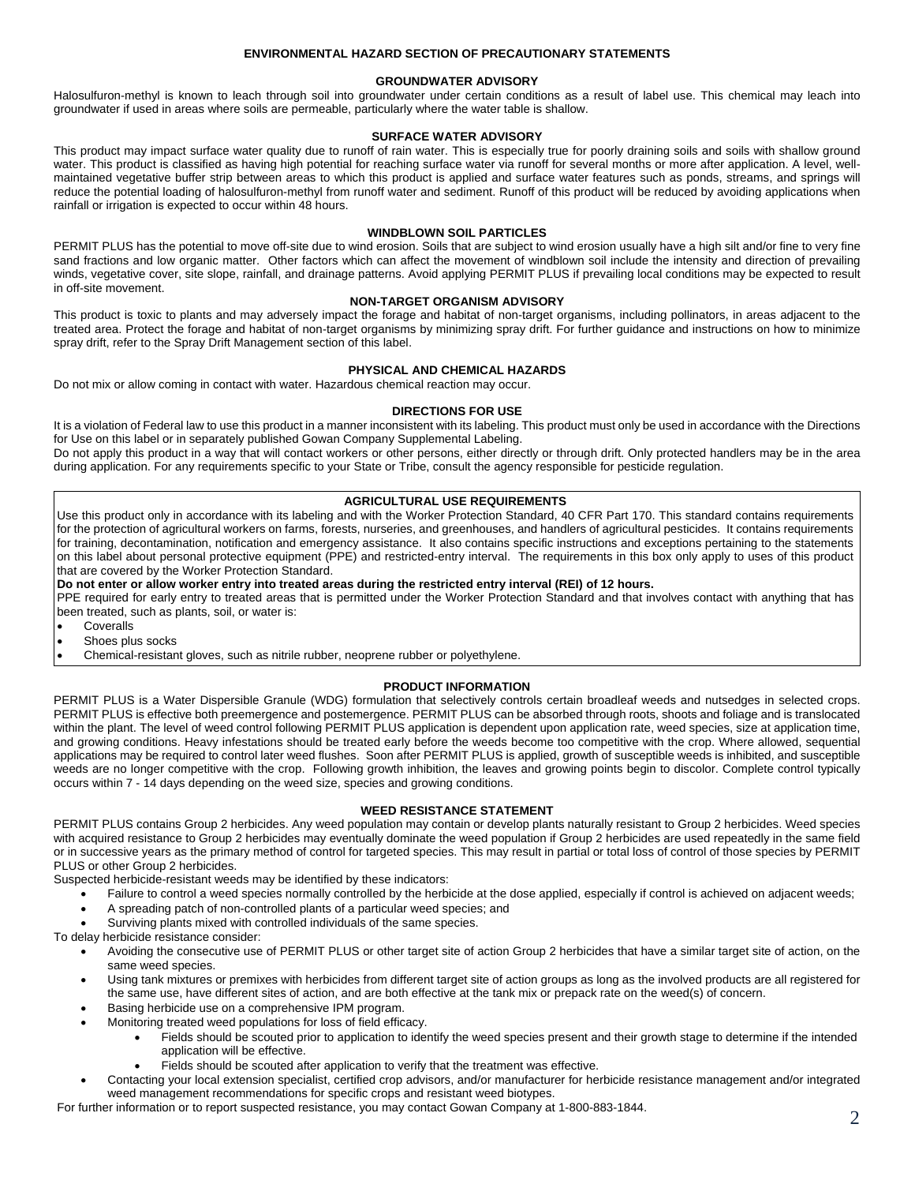## **ENVIRONMENTAL HAZARD SECTION OF PRECAUTIONARY STATEMENTS**

## **GROUNDWATER ADVISORY**

Halosulfuron-methyl is known to leach through soil into groundwater under certain conditions as a result of label use. This chemical may leach into groundwater if used in areas where soils are permeable, particularly where the water table is shallow.

## **SURFACE WATER ADVISORY**

This product may impact surface water quality due to runoff of rain water. This is especially true for poorly draining soils and soils with shallow ground water. This product is classified as having high potential for reaching surface water via runoff for several months or more after application. A level, wellmaintained vegetative buffer strip between areas to which this product is applied and surface water features such as ponds, streams, and springs will reduce the potential loading of halosulfuron-methyl from runoff water and sediment. Runoff of this product will be reduced by avoiding applications when rainfall or irrigation is expected to occur within 48 hours.

#### **WINDBLOWN SOIL PARTICLES**

PERMIT PLUS has the potential to move off-site due to wind erosion. Soils that are subject to wind erosion usually have a high silt and/or fine to very fine sand fractions and low organic matter. Other factors which can affect the movement of windblown soil include the intensity and direction of prevailing winds, vegetative cover, site slope, rainfall, and drainage patterns. Avoid applying PERMIT PLUS if prevailing local conditions may be expected to result in off-site movement.

#### **NON-TARGET ORGANISM ADVISORY**

This product is toxic to plants and may adversely impact the forage and habitat of non-target organisms, including pollinators, in areas adjacent to the treated area. Protect the forage and habitat of non-target organisms by minimizing spray drift. For further guidance and instructions on how to minimize spray drift, refer to the Spray Drift Management section of this label.

#### **PHYSICAL AND CHEMICAL HAZARDS**

Do not mix or allow coming in contact with water. Hazardous chemical reaction may occur.

## **DIRECTIONS FOR USE**

It is a violation of Federal law to use this product in a manner inconsistent with its labeling. This product must only be used in accordance with the Directions for Use on this label or in separately published Gowan Company Supplemental Labeling.

Do not apply this product in a way that will contact workers or other persons, either directly or through drift. Only protected handlers may be in the area during application. For any requirements specific to your State or Tribe, consult the agency responsible for pesticide regulation.

## **AGRICULTURAL USE REQUIREMENTS**

Use this product only in accordance with its labeling and with the Worker Protection Standard, 40 CFR Part 170. This standard contains requirements for the protection of agricultural workers on farms, forests, nurseries, and greenhouses, and handlers of agricultural pesticides. It contains requirements for training, decontamination, notification and emergency assistance. It also contains specific instructions and exceptions pertaining to the statements on this label about personal protective equipment (PPE) and restricted-entry interval. The requirements in this box only apply to uses of this product that are covered by the Worker Protection Standard.

**Do not enter or allow worker entry into treated areas during the restricted entry interval (REI) of 12 hours.** 

PPE required for early entry to treated areas that is permitted under the Worker Protection Standard and that involves contact with anything that has been treated, such as plants, soil, or water is:

- Coveralls
- Shoes plus socks
- Chemical-resistant gloves, such as nitrile rubber, neoprene rubber or polyethylene.

## **PRODUCT INFORMATION**

PERMIT PLUS is a Water Dispersible Granule (WDG) formulation that selectively controls certain broadleaf weeds and nutsedges in selected crops. PERMIT PLUS is effective both preemergence and postemergence. PERMIT PLUS can be absorbed through roots, shoots and foliage and is translocated within the plant. The level of weed control following PERMIT PLUS application is dependent upon application rate, weed species, size at application time, and growing conditions. Heavy infestations should be treated early before the weeds become too competitive with the crop. Where allowed, sequential applications may be required to control later weed flushes. Soon after PERMIT PLUS is applied, growth of susceptible weeds is inhibited, and susceptible weeds are no longer competitive with the crop. Following growth inhibition, the leaves and growing points begin to discolor. Complete control typically occurs within 7 - 14 days depending on the weed size, species and growing conditions.

## **WEED RESISTANCE STATEMENT**

PERMIT PLUS contains Group 2 herbicides. Any weed population may contain or develop plants naturally resistant to Group 2 herbicides. Weed species with acquired resistance to Group 2 herbicides may eventually dominate the weed population if Group 2 herbicides are used repeatedly in the same field or in successive years as the primary method of control for targeted species. This may result in partial or total loss of control of those species by PERMIT PLUS or other Group 2 herbicides.

Suspected herbicide-resistant weeds may be identified by these indicators:

- Failure to control a weed species normally controlled by the herbicide at the dose applied, especially if control is achieved on adjacent weeds;
- A spreading patch of non-controlled plants of a particular weed species; and
- Surviving plants mixed with controlled individuals of the same species.

To delay herbicide resistance consider:

- Avoiding the consecutive use of PERMIT PLUS or other target site of action Group 2 herbicides that have a similar target site of action, on the same weed species.
- Using tank mixtures or premixes with herbicides from different target site of action groups as long as the involved products are all registered for the same use, have different sites of action, and are both effective at the tank mix or prepack rate on the weed(s) of concern.
- Basing herbicide use on a comprehensive IPM program.
- Monitoring treated weed populations for loss of field efficacy.
	- Fields should be scouted prior to application to identify the weed species present and their growth stage to determine if the intended application will be effective.
	- Fields should be scouted after application to verify that the treatment was effective.
- Contacting your local extension specialist, certified crop advisors, and/or manufacturer for herbicide resistance management and/or integrated weed management recommendations for specific crops and resistant weed biotypes.

For further information or to report suspected resistance, you may contact Gowan Company at 1-800-883-1844.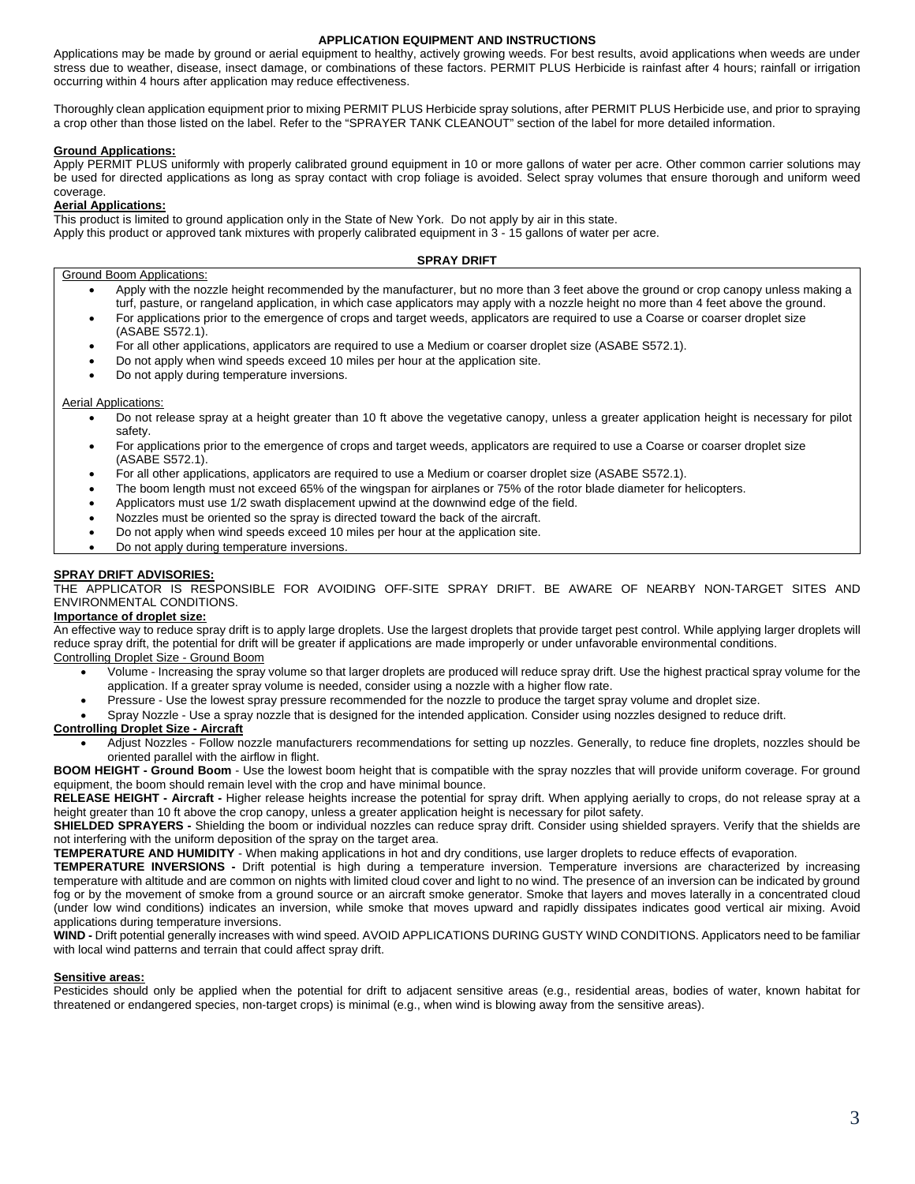## **APPLICATION EQUIPMENT AND INSTRUCTIONS**

Applications may be made by ground or aerial equipment to healthy, actively growing weeds. For best results, avoid applications when weeds are under stress due to weather, disease, insect damage, or combinations of these factors. PERMIT PLUS Herbicide is rainfast after 4 hours; rainfall or irrigation occurring within 4 hours after application may reduce effectiveness.

Thoroughly clean application equipment prior to mixing PERMIT PLUS Herbicide spray solutions, after PERMIT PLUS Herbicide use, and prior to spraying a crop other than those listed on the label. Refer to the "SPRAYER TANK CLEANOUT" section of the label for more detailed information.

## **Ground Applications:**

Apply PERMIT PLUS uniformly with properly calibrated ground equipment in 10 or more gallons of water per acre. Other common carrier solutions may be used for directed applications as long as spray contact with crop foliage is avoided. Select spray volumes that ensure thorough and uniform weed coverage.

## **Aerial Applications:**

This product is limited to ground application only in the State of New York. Do not apply by air in this state.

Apply this product or approved tank mixtures with properly calibrated equipment in 3 - 15 gallons of water per acre.

## **SPRAY DRIFT**

## Ground Boom Applications:

- Apply with the nozzle height recommended by the manufacturer, but no more than 3 feet above the ground or crop canopy unless making a turf, pasture, or rangeland application, in which case applicators may apply with a nozzle height no more than 4 feet above the ground.
- For applications prior to the emergence of crops and target weeds, applicators are required to use a Coarse or coarser droplet size (ASABE S572.1).
- For all other applications, applicators are required to use a Medium or coarser droplet size (ASABE S572.1).
- Do not apply when wind speeds exceed 10 miles per hour at the application site.
- Do not apply during temperature inversions.

#### Aerial Applications:

- Do not release spray at a height greater than 10 ft above the vegetative canopy, unless a greater application height is necessary for pilot safety.
- For applications prior to the emergence of crops and target weeds, applicators are required to use a Coarse or coarser droplet size (ASABE S572.1).
- For all other applications, applicators are required to use a Medium or coarser droplet size (ASABE S572.1).
- The boom length must not exceed 65% of the wingspan for airplanes or 75% of the rotor blade diameter for helicopters.
- Applicators must use 1/2 swath displacement upwind at the downwind edge of the field.
- Nozzles must be oriented so the spray is directed toward the back of the aircraft.
- Do not apply when wind speeds exceed 10 miles per hour at the application site.
- Do not apply during temperature inversions.

## **SPRAY DRIFT ADVISORIES:**

THE APPLICATOR IS RESPONSIBLE FOR AVOIDING OFF-SITE SPRAY DRIFT. BE AWARE OF NEARBY NON-TARGET SITES AND ENVIRONMENTAL CONDITIONS.

## **Importance of droplet size:**

An effective way to reduce spray drift is to apply large droplets. Use the largest droplets that provide target pest control. While applying larger droplets will reduce spray drift, the potential for drift will be greater if applications are made improperly or under unfavorable environmental conditions.

- Controlling Droplet Size Ground Boom
	- Volume Increasing the spray volume so that larger droplets are produced will reduce spray drift. Use the highest practical spray volume for the application. If a greater spray volume is needed, consider using a nozzle with a higher flow rate.
	- Pressure Use the lowest spray pressure recommended for the nozzle to produce the target spray volume and droplet size.
	- Spray Nozzle Use a spray nozzle that is designed for the intended application. Consider using nozzles designed to reduce drift.

## **Controlling Droplet Size - Aircraft**

• Adjust Nozzles - Follow nozzle manufacturers recommendations for setting up nozzles. Generally, to reduce fine droplets, nozzles should be oriented parallel with the airflow in flight.

**BOOM HEIGHT - Ground Boom** - Use the lowest boom height that is compatible with the spray nozzles that will provide uniform coverage. For ground equipment, the boom should remain level with the crop and have minimal bounce.

**RELEASE HEIGHT - Aircraft -** Higher release heights increase the potential for spray drift. When applying aerially to crops, do not release spray at a height greater than 10 ft above the crop canopy, unless a greater application height is necessary for pilot safety.

**SHIELDED SPRAYERS -** Shielding the boom or individual nozzles can reduce spray drift. Consider using shielded sprayers. Verify that the shields are not interfering with the uniform deposition of the spray on the target area.

**TEMPERATURE AND HUMIDITY** - When making applications in hot and dry conditions, use larger droplets to reduce effects of evaporation.

**TEMPERATURE INVERSIONS -** Drift potential is high during a temperature inversion. Temperature inversions are characterized by increasing temperature with altitude and are common on nights with limited cloud cover and light to no wind. The presence of an inversion can be indicated by ground fog or by the movement of smoke from a ground source or an aircraft smoke generator. Smoke that layers and moves laterally in a concentrated cloud (under low wind conditions) indicates an inversion, while smoke that moves upward and rapidly dissipates indicates good vertical air mixing. Avoid applications during temperature inversions.

**WIND -** Drift potential generally increases with wind speed. AVOID APPLICATIONS DURING GUSTY WIND CONDITIONS. Applicators need to be familiar with local wind patterns and terrain that could affect spray drift.

## **Sensitive areas:**

Pesticides should only be applied when the potential for drift to adjacent sensitive areas (e.g., residential areas, bodies of water, known habitat for threatened or endangered species, non-target crops) is minimal (e.g., when wind is blowing away from the sensitive areas).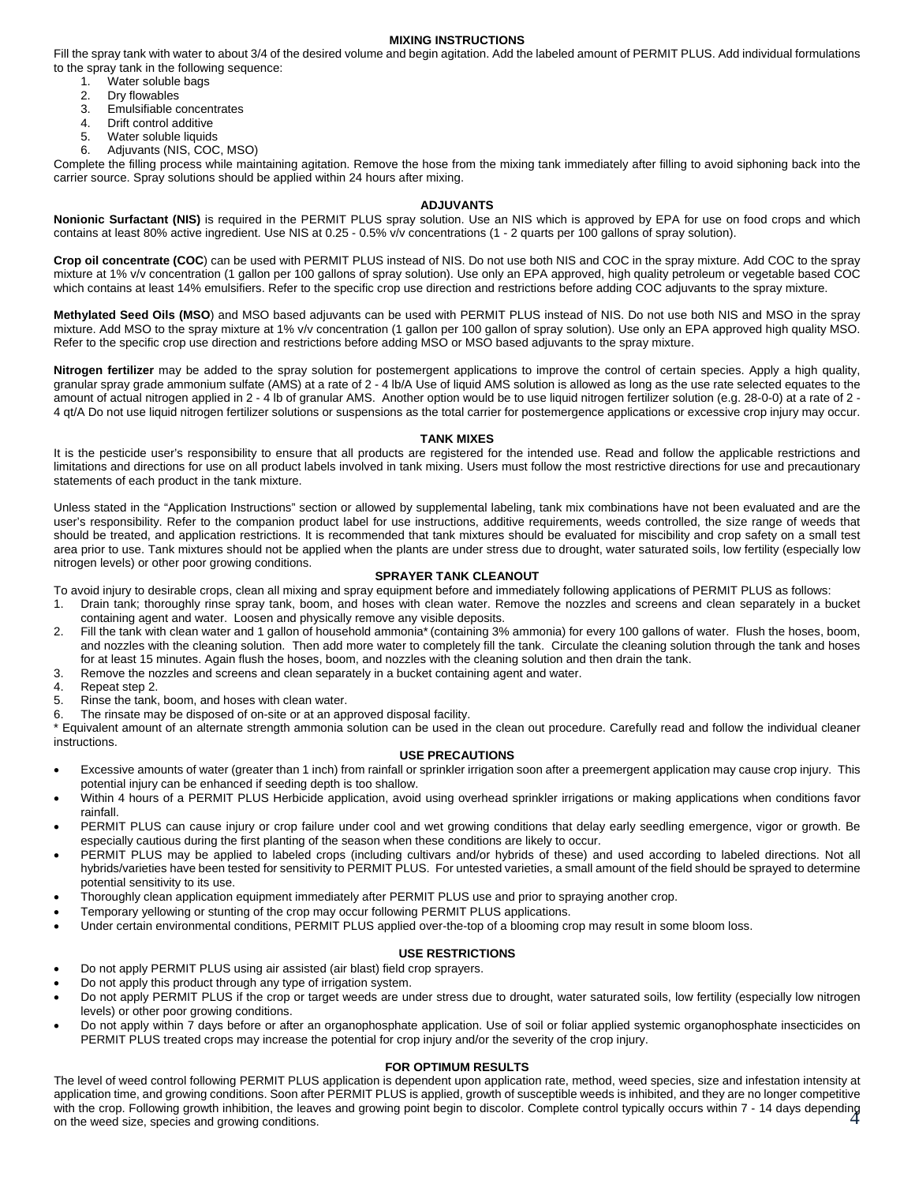#### **MIXING INSTRUCTIONS**

Fill the spray tank with water to about 3/4 of the desired volume and begin agitation. Add the labeled amount of PERMIT PLUS. Add individual formulations to the spray tank in the following sequence:

- 1. Water soluble bags<br>2. Drv flowables
- Dry flowables
- 3. Emulsifiable concentrates<br>4 Drift control additive
- Drift control additive
- 5. Water soluble liquids<br>6. Adjuvants (NIS, COC
- 6. Adjuvants (NIS, COC, MSO)

Complete the filling process while maintaining agitation. Remove the hose from the mixing tank immediately after filling to avoid siphoning back into the carrier source. Spray solutions should be applied within 24 hours after mixing.

## **ADJUVANTS**

**Nonionic Surfactant (NIS)** is required in the PERMIT PLUS spray solution. Use an NIS which is approved by EPA for use on food crops and which contains at least 80% active ingredient. Use NIS at 0.25 - 0.5% v/v concentrations (1 - 2 quarts per 100 gallons of spray solution).

**Crop oil concentrate (COC**) can be used with PERMIT PLUS instead of NIS. Do not use both NIS and COC in the spray mixture. Add COC to the spray mixture at 1% v/v concentration (1 gallon per 100 gallons of spray solution). Use only an EPA approved, high quality petroleum or vegetable based COC which contains at least 14% emulsifiers. Refer to the specific crop use direction and restrictions before adding COC adjuvants to the spray mixture.

**Methylated Seed Oils (MSO**) and MSO based adjuvants can be used with PERMIT PLUS instead of NIS. Do not use both NIS and MSO in the spray mixture. Add MSO to the spray mixture at 1% v/v concentration (1 gallon per 100 gallon of spray solution). Use only an EPA approved high quality MSO. Refer to the specific crop use direction and restrictions before adding MSO or MSO based adjuvants to the spray mixture.

**Nitrogen fertilizer** may be added to the spray solution for postemergent applications to improve the control of certain species. Apply a high quality, granular spray grade ammonium sulfate (AMS) at a rate of 2 - 4 lb/A Use of liquid AMS solution is allowed as long as the use rate selected equates to the amount of actual nitrogen applied in 2 - 4 lb of granular AMS. Another option would be to use liquid nitrogen fertilizer solution (e.g. 28-0-0) at a rate of 2 - 4 qt/A Do not use liquid nitrogen fertilizer solutions or suspensions as the total carrier for postemergence applications or excessive crop injury may occur.

#### **TANK MIXES**

It is the pesticide user's responsibility to ensure that all products are registered for the intended use. Read and follow the applicable restrictions and limitations and directions for use on all product labels involved in tank mixing. Users must follow the most restrictive directions for use and precautionary statements of each product in the tank mixture.

Unless stated in the "Application Instructions" section or allowed by supplemental labeling, tank mix combinations have not been evaluated and are the user's responsibility. Refer to the companion product label for use instructions, additive requirements, weeds controlled, the size range of weeds that should be treated, and application restrictions. It is recommended that tank mixtures should be evaluated for miscibility and crop safety on a small test area prior to use. Tank mixtures should not be applied when the plants are under stress due to drought, water saturated soils, low fertility (especially low nitrogen levels) or other poor growing conditions.

#### **SPRAYER TANK CLEANOUT**

To avoid injury to desirable crops, clean all mixing and spray equipment before and immediately following applications of PERMIT PLUS as follows:

- 1. Drain tank; thoroughly rinse spray tank, boom, and hoses with clean water. Remove the nozzles and screens and clean separately in a bucket containing agent and water. Loosen and physically remove any visible deposits.
- 2. Fill the tank with clean water and 1 gallon of household ammonia\*(containing 3% ammonia) for every 100 gallons of water. Flush the hoses, boom, and nozzles with the cleaning solution. Then add more water to completely fill the tank. Circulate the cleaning solution through the tank and hoses for at least 15 minutes. Again flush the hoses, boom, and nozzles with the cleaning solution and then drain the tank.
- 3. Remove the nozzles and screens and clean separately in a bucket containing agent and water.
- 4. Repeat step 2.
- 5. Rinse the tank, boom, and hoses with clean water.
- 6. The rinsate may be disposed of on-site or at an approved disposal facility.
- \* Equivalent amount of an alternate strength ammonia solution can be used in the clean out procedure. Carefully read and follow the individual cleaner instructions.

#### **USE PRECAUTIONS**

- Excessive amounts of water (greater than 1 inch) from rainfall or sprinkler irrigation soon after a preemergent application may cause crop injury. This potential injury can be enhanced if seeding depth is too shallow.
- Within 4 hours of a PERMIT PLUS Herbicide application, avoid using overhead sprinkler irrigations or making applications when conditions favor rainfall.
- PERMIT PLUS can cause injury or crop failure under cool and wet growing conditions that delay early seedling emergence, vigor or growth. Be especially cautious during the first planting of the season when these conditions are likely to occur.
- PERMIT PLUS may be applied to labeled crops (including cultivars and/or hybrids of these) and used according to labeled directions. Not all hybrids/varieties have been tested for sensitivity to PERMIT PLUS. For untested varieties, a small amount of the field should be sprayed to determine potential sensitivity to its use.
- Thoroughly clean application equipment immediately after PERMIT PLUS use and prior to spraying another crop.
- Temporary yellowing or stunting of the crop may occur following PERMIT PLUS applications.
- Under certain environmental conditions, PERMIT PLUS applied over-the-top of a blooming crop may result in some bloom loss.

## **USE RESTRICTIONS**

- Do not apply PERMIT PLUS using air assisted (air blast) field crop sprayers.
- Do not apply this product through any type of irrigation system.
- Do not apply PERMIT PLUS if the crop or target weeds are under stress due to drought, water saturated soils, low fertility (especially low nitrogen levels) or other poor growing conditions.
- Do not apply within 7 days before or after an organophosphate application. Use of soil or foliar applied systemic organophosphate insecticides on PERMIT PLUS treated crops may increase the potential for crop injury and/or the severity of the crop injury.

## **FOR OPTIMUM RESULTS**

4 with the crop. Following growth inhibition, the leaves and growing point begin to discolor. Complete control typically occurs within 7 - 14 days depending The level of weed control following PERMIT PLUS application is dependent upon application rate, method, weed species, size and infestation intensity at application time, and growing conditions. Soon after PERMIT PLUS is applied, growth of susceptible weeds is inhibited, and they are no longer competitive on the weed size, species and growing conditions.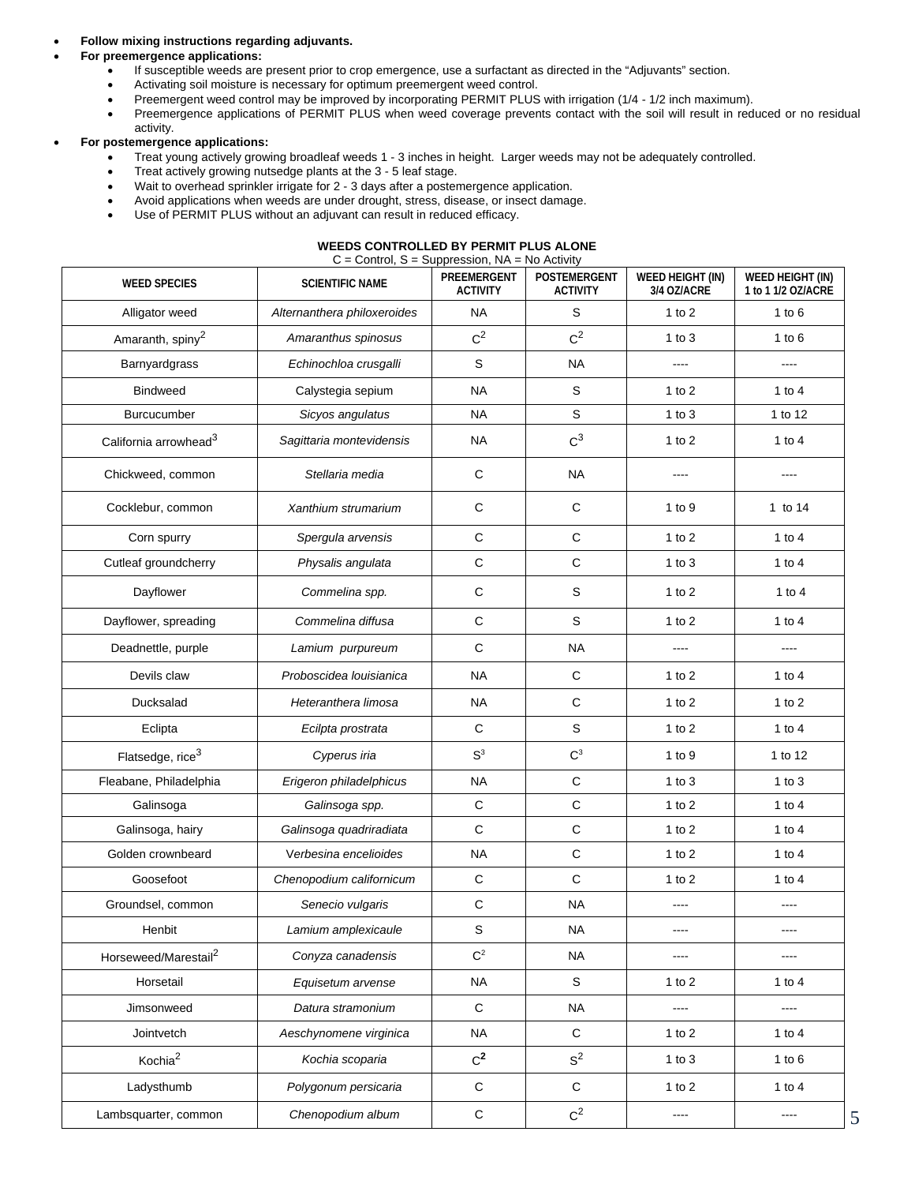## • **Follow mixing instructions regarding adjuvants.**

## • **For preemergence applications:**

- If susceptible weeds are present prior to crop emergence, use a surfactant as directed in the "Adjuvants" section.
- Activating soil moisture is necessary for optimum preemergent weed control.
- Preemergent weed control may be improved by incorporating PERMIT PLUS with irrigation (1/4 1/2 inch maximum).
- Preemergence applications of PERMIT PLUS when weed coverage prevents contact with the soil will result in reduced or no residual activity.

## • **For postemergence applications:**

- Treat young actively growing broadleaf weeds 1 3 inches in height. Larger weeds may not be adequately controlled.
- Treat actively growing nutsedge plants at the 3 5 leaf stage.
- Wait to overhead sprinkler irrigate for 2 3 days after a postemergence application.
- Avoid applications when weeds are under drought, stress, disease, or insect damage.
- Use of PERMIT PLUS without an adjuvant can result in reduced efficacy.

#### **WEEDS CONTROLLED BY PERMIT PLUS ALONE**   $C =$  Control,  $S =$  Suppression,  $NA =$  No Activity

| <b>WEED SPECIES</b>               | <b>SCIENTIFIC NAME</b>      | .<br>PREEMERGENT<br><b>ACTIVITY</b> | "<br><b>POSTEMERGENT</b><br><b>ACTIVITY</b> | <b>WEED HEIGHT (IN)</b><br>3/4 OZ/ACRE | WEED HEIGHT (IN)<br>1 to 1 1/2 OZ/ACRE |
|-----------------------------------|-----------------------------|-------------------------------------|---------------------------------------------|----------------------------------------|----------------------------------------|
| Alligator weed                    | Alternanthera philoxeroides | <b>NA</b>                           | S                                           | 1 to $2$                               | 1 to $6$                               |
| Amaranth, spiny <sup>2</sup>      | Amaranthus spinosus         | $C^2$                               | $C^2$                                       | 1 to $3$                               | 1 to $6$                               |
| Barnyardgrass                     | Echinochloa crusgalli       | S                                   | <b>NA</b>                                   | $---$                                  | $\cdots$                               |
| <b>Bindweed</b>                   | Calystegia sepium           | <b>NA</b>                           | $\mathbb S$                                 | 1 to $2$                               | 1 to 4                                 |
| <b>Burcucumber</b>                | Sicyos angulatus            | <b>NA</b>                           | S                                           | 1 to $3$                               | 1 to 12                                |
| California arrowhead <sup>3</sup> | Sagittaria montevidensis    | <b>NA</b>                           | $C^3$                                       | 1 to $2$                               | 1 to $4$                               |
| Chickweed, common                 | Stellaria media             | C                                   | <b>NA</b>                                   | ----                                   | ----                                   |
| Cocklebur, common                 | Xanthium strumarium         | C                                   | С                                           | 1 to $9$                               | 1 to 14                                |
| Corn spurry                       | Spergula arvensis           | $\mathsf{C}$                        | $\mathbf C$                                 | 1 to $2$                               | 1 to $4$                               |
| Cutleaf groundcherry              | Physalis angulata           | $\mathsf C$                         | $\mathsf C$                                 | $1$ to $3$                             | 1 to $4$                               |
| Dayflower                         | Commelina spp.              | $\mathsf C$                         | S                                           | 1 to $2$                               | 1 to $4$                               |
| Dayflower, spreading              | Commelina diffusa           | $\mathsf C$                         | S                                           | 1 to $2$                               | 1 to $4$                               |
| Deadnettle, purple                | Lamium purpureum            | C                                   | <b>NA</b>                                   |                                        | ----                                   |
| Devils claw                       | Proboscidea louisianica     | <b>NA</b>                           | $\mathsf C$                                 | 1 to $2$                               | 1 to $4$                               |
| Ducksalad                         | Heteranthera limosa         | <b>NA</b>                           | $\mathbf C$                                 | 1 to $2$                               | 1 to $2$                               |
| Eclipta                           | Ecilpta prostrata           | $\mathbf C$                         | S                                           | 1 to $2$                               | 1 to $4$                               |
| Flatsedge, rice <sup>3</sup>      | Cyperus iria                | S <sup>3</sup>                      | $C^3$                                       | 1 to $9$                               | 1 to 12                                |
| Fleabane, Philadelphia            | Erigeron philadelphicus     | <b>NA</b>                           | $\mathbf C$                                 | $1$ to $3$                             | $1$ to $3$                             |
| Galinsoga                         | Galinsoga spp.              | $\mathsf C$                         | $\mathsf C$                                 | 1 to $2$                               | 1 to $4$                               |
| Galinsoga, hairy                  | Galinsoga quadriradiata     | C                                   | $\mathbf C$                                 | $1$ to $2$                             | 1 to $4$                               |
| Golden crownbeard                 | Verbesina encelioides       | <b>NA</b>                           | $\mathsf C$                                 | $1$ to $2$                             | 1 to $4$                               |
| Goosefoot                         | Chenopodium californicum    | $\mathbf C$                         | $\mathsf C$                                 | $1$ to $2$                             | 1 to $4$                               |
| Groundsel, common                 | Senecio vulgaris            | $\mathsf C$                         | <b>NA</b>                                   |                                        |                                        |
| Henbit                            | Lamium amplexicaule         | S                                   | <b>NA</b>                                   | $---$                                  | $\cdots$                               |
| Horseweed/Marestail <sup>2</sup>  | Conyza canadensis           | C <sup>2</sup>                      | <b>NA</b>                                   | ----                                   | ----                                   |
| Horsetail                         | Equisetum arvense           | <b>NA</b>                           | S                                           | 1 to $2$                               | 1 to $4$                               |
| Jimsonweed                        | Datura stramonium           | $\mathbf C$                         | <b>NA</b>                                   | $\cdots$                               | ----                                   |
| Jointvetch                        | Aeschynomene virginica      | <b>NA</b>                           | $\mathsf C$                                 | 1 to $2$                               | 1 to $4$                               |
| Kochia <sup>2</sup>               | Kochia scoparia             | $C^2$                               | S <sup>2</sup>                              | $1$ to $3$                             | $1$ to $6$                             |
| Ladysthumb                        | Polygonum persicaria        | $\mathbf C$                         | $\mathbf C$                                 | $1$ to $2$                             | 1 to $4$                               |
| Lambsquarter, common              | Chenopodium album           | ${\bf C}$                           | $C^2$                                       | $\cdots$                               | $\cdots$                               |

5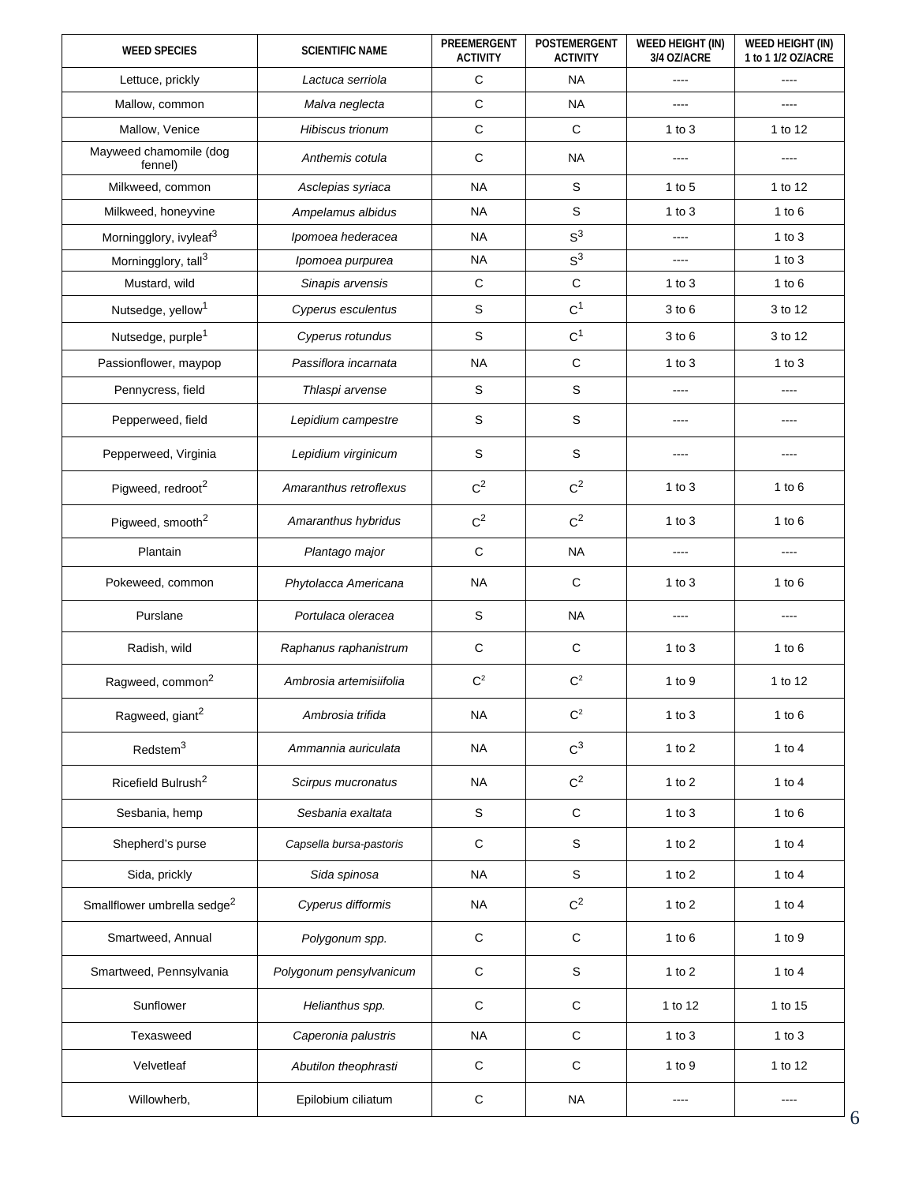| <b>WEED SPECIES</b>                     | <b>SCIENTIFIC NAME</b>  | PREEMERGENT<br><b>ACTIVITY</b> | <b>POSTEMERGENT</b><br><b>ACTIVITY</b> | <b>WEED HEIGHT (IN)</b><br>3/4 OZ/ACRE | <b>WEED HEIGHT (IN)</b><br>1 to 1 1/2 OZ/ACRE |
|-----------------------------------------|-------------------------|--------------------------------|----------------------------------------|----------------------------------------|-----------------------------------------------|
| Lettuce, prickly                        | Lactuca serriola        | C                              | <b>NA</b>                              |                                        | ----                                          |
| Mallow, common                          | Malva neglecta          | $\mathsf C$                    | <b>NA</b>                              |                                        | ----                                          |
| Mallow, Venice                          | Hibiscus trionum        | $\mathsf C$                    | $\mathbf C$                            | 1 to $3$                               | 1 to 12                                       |
| Mayweed chamomile (dog<br>fennel)       | Anthemis cotula         | $\mathsf C$                    | <b>NA</b>                              |                                        | ----                                          |
| Milkweed, common                        | Asclepias syriaca       | <b>NA</b>                      | $\mathbf S$                            | 1 to $5$                               | 1 to 12                                       |
| Milkweed, honeyvine                     | Ampelamus albidus       | <b>NA</b>                      | $\mathbf S$                            | 1 to $3$                               | 1 to $6$                                      |
| Morningglory, ivyleaf <sup>3</sup>      | Ipomoea hederacea       | <b>NA</b>                      | $S^3$                                  | $---$                                  | $1$ to $3$                                    |
| Morningglory, tall <sup>3</sup>         | Ipomoea purpurea        | <b>NA</b>                      | $S^3$                                  | ----                                   | $1$ to $3$                                    |
| Mustard, wild                           | Sinapis arvensis        | $\mathbf C$                    | $\mathsf C$                            | 1 to $3$                               | 1 to $6$                                      |
| Nutsedge, yellow <sup>1</sup>           | Cyperus esculentus      | S                              | C <sup>1</sup>                         | $3$ to $6$                             | 3 to 12                                       |
| Nutsedge, purple <sup>1</sup>           | Cyperus rotundus        | $\mathbb S$                    | C <sup>1</sup>                         | $3$ to $6$                             | 3 to 12                                       |
| Passionflower, maypop                   | Passiflora incarnata    | <b>NA</b>                      | $\mathbf C$                            | 1 to $3$                               | 1 to $3$                                      |
| Pennycress, field                       | Thlaspi arvense         | $\mathbb S$                    | $\mathbf S$                            |                                        | ----                                          |
| Pepperweed, field                       | Lepidium campestre      | S                              | $\mathbf S$                            |                                        | ----                                          |
| Pepperweed, Virginia                    | Lepidium virginicum     | S                              | $\mathbf S$                            |                                        | ----                                          |
| Pigweed, redroot <sup>2</sup>           | Amaranthus retroflexus  | $C^2$                          | $C^2$                                  | 1 to $3$                               | 1 to $6$                                      |
| Pigweed, smooth <sup>2</sup>            | Amaranthus hybridus     | $C^2$                          | $C^2$                                  | 1 to $3$                               | 1 to $6$                                      |
| Plantain                                | Plantago major          | $\mathbf C$                    | <b>NA</b>                              |                                        |                                               |
| Pokeweed, common                        | Phytolacca Americana    | <b>NA</b>                      | $\mathbf C$                            | 1 to $3$                               | 1 to $6$                                      |
| Purslane                                | Portulaca oleracea      | S                              | <b>NA</b>                              | ----                                   | ----                                          |
| Radish, wild                            | Raphanus raphanistrum   | $\mathbf C$                    | $\mathbf C$                            | 1 to $3$                               | 1 to $6$                                      |
| Ragweed, common <sup>2</sup>            | Ambrosia artemisiifolia | $C^2$                          | $C^2$                                  | 1 to $9$                               | 1 to 12                                       |
| Ragweed, giant <sup>2</sup>             | Ambrosia trifida        | <b>NA</b>                      | C <sup>2</sup>                         | $1$ to $3$                             | $1$ to $6$                                    |
| Redstem <sup>3</sup>                    | Ammannia auriculata     | <b>NA</b>                      | $C^3$                                  | $1$ to $2$                             | $1$ to $4$                                    |
| Ricefield Bulrush <sup>2</sup>          | Scirpus mucronatus      | <b>NA</b>                      | $C^2$                                  | 1 to $2$                               | 1 to $4$                                      |
| Sesbania, hemp                          | Sesbania exaltata       | $\mathsf S$                    | $\mathbf C$                            | 1 to $3$                               | $1$ to $6$                                    |
| Shepherd's purse                        | Capsella bursa-pastoris | $\mathbf C$                    | $\mathbf S$                            | 1 to $2$                               | 1 to $4$                                      |
| Sida, prickly                           | Sida spinosa            | <b>NA</b>                      | $\mathbb S$                            | 1 to $2$                               | 1 to $4$                                      |
| Smallflower umbrella sedge <sup>2</sup> | Cyperus difformis       | <b>NA</b>                      | $C^2$                                  | 1 to $2$                               | 1 to $4$                                      |
| Smartweed, Annual                       | Polygonum spp.          | $\mathsf C$                    | $\mathbf C$                            | 1 to $6$                               | $1$ to $9$                                    |
| Smartweed, Pennsylvania                 | Polygonum pensylvanicum | $\mathbf C$                    | $\mathbf S$                            | 1 to $2$                               | 1 to $4$                                      |
| Sunflower                               | Helianthus spp.         | $\mathbf C$                    | $\mathbf C$                            | 1 to 12                                | 1 to 15                                       |
| Texasweed                               | Caperonia palustris     | <b>NA</b>                      | $\mathsf C$                            | $1$ to $3$                             | $1$ to $3$                                    |
| Velvetleaf                              | Abutilon theophrasti    | $\mathbf C$                    | $\mathbf C$                            | 1 to $9$                               | 1 to 12                                       |
| Willowherb,                             | Epilobium ciliatum      | $\mathsf C$                    | <b>NA</b>                              | ----                                   | $---$                                         |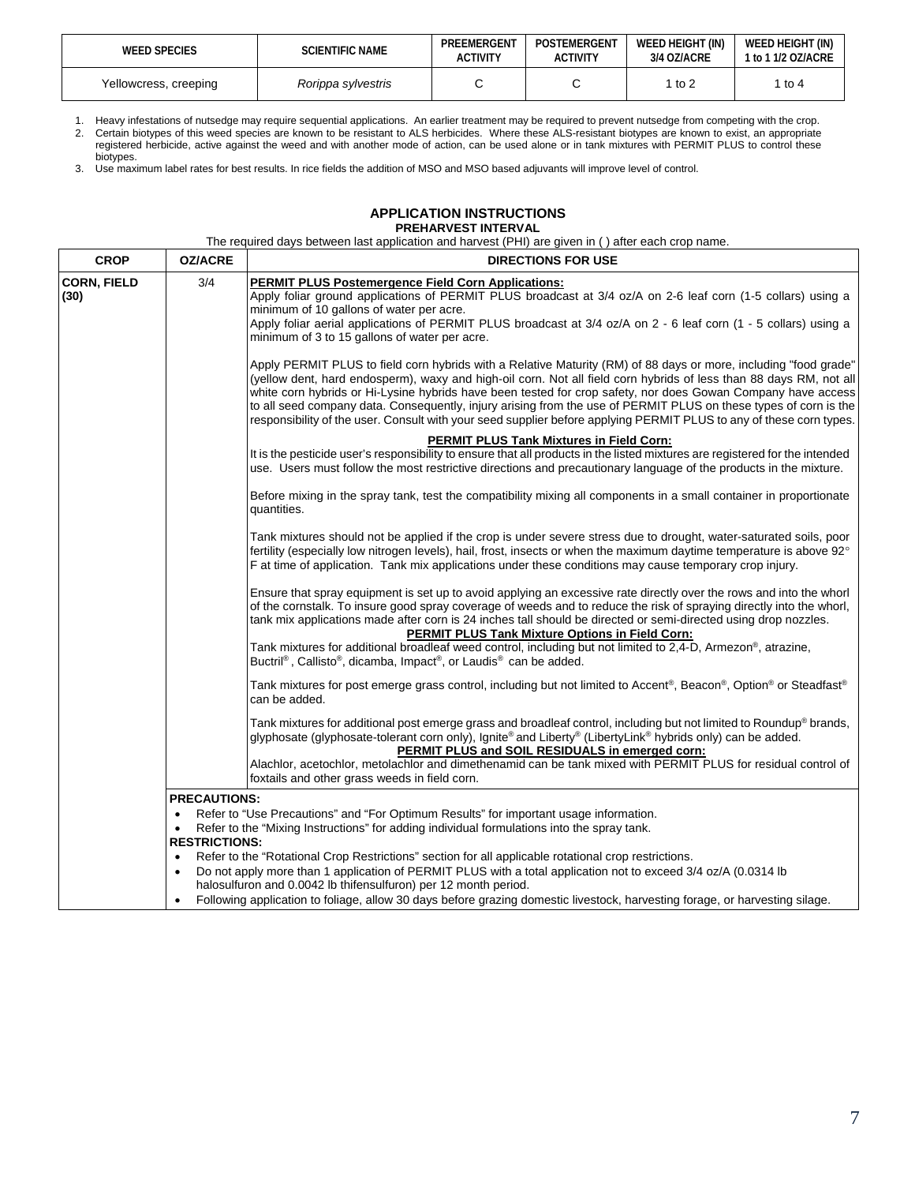| <b>WEED SPECIES</b>   | <b>SCIENTIFIC NAME</b> | PREEMERGENT<br><b>ACTIVITY</b> | POSTEMERGENT<br>ACTIVITY | WEED HEIGHT (IN)<br>3/4 OZ/ACRE | WEED HEIGHT (IN)<br>1 to 1 1/2 OZ/ACRE |
|-----------------------|------------------------|--------------------------------|--------------------------|---------------------------------|----------------------------------------|
| Yellowcress, creeping | Rorippa sylvestris     |                                |                          | to 2                            | l to 4                                 |

1. Heavy infestations of nutsedge may require sequential applications. An earlier treatment may be required to prevent nutsedge from competing with the crop. 2. Certain biotypes of this weed species are known to be resistant to ALS herbicides. Where these ALS-resistant biotypes are known to exist, an appropriate registered herbicide, active against the weed and with another mode of action, can be used alone or in tank mixtures with PERMIT PLUS to control these biotypes.

3. Use maximum label rates for best results. In rice fields the addition of MSO and MSO based adjuvants will improve level of control.

## **APPLICATION INSTRUCTIONS PREHARVEST INTERVAL**

The required days between last application and harvest (PHI) are given in ( ) after each crop name.

| <b>CROP</b>                | <b>OZ/ACRE</b>         | <b>DIRECTIONS FOR USE</b>                                                                                                                                                                                                                                                                                                                                                                                                                                                                                                                                                                                   |
|----------------------------|------------------------|-------------------------------------------------------------------------------------------------------------------------------------------------------------------------------------------------------------------------------------------------------------------------------------------------------------------------------------------------------------------------------------------------------------------------------------------------------------------------------------------------------------------------------------------------------------------------------------------------------------|
| <b>CORN, FIELD</b><br>(30) | 3/4                    | <b>PERMIT PLUS Postemergence Field Corn Applications:</b><br>Apply foliar ground applications of PERMIT PLUS broadcast at 3/4 oz/A on 2-6 leaf corn (1-5 collars) using a<br>minimum of 10 gallons of water per acre.<br>Apply foliar aerial applications of PERMIT PLUS broadcast at 3/4 oz/A on 2 - 6 leaf corn (1 - 5 collars) using a<br>minimum of 3 to 15 gallons of water per acre.                                                                                                                                                                                                                  |
|                            |                        | Apply PERMIT PLUS to field corn hybrids with a Relative Maturity (RM) of 88 days or more, including "food grade"<br>(yellow dent, hard endosperm), waxy and high-oil corn. Not all field corn hybrids of less than 88 days RM, not all<br>white corn hybrids or Hi-Lysine hybrids have been tested for crop safety, nor does Gowan Company have access<br>to all seed company data. Consequently, injury arising from the use of PERMIT PLUS on these types of corn is the<br>responsibility of the user. Consult with your seed supplier before applying PERMIT PLUS to any of these corn types.           |
|                            |                        | <b>PERMIT PLUS Tank Mixtures in Field Corn:</b><br>It is the pesticide user's responsibility to ensure that all products in the listed mixtures are registered for the intended<br>use. Users must follow the most restrictive directions and precautionary language of the products in the mixture.                                                                                                                                                                                                                                                                                                        |
|                            |                        | Before mixing in the spray tank, test the compatibility mixing all components in a small container in proportionate<br>quantities.                                                                                                                                                                                                                                                                                                                                                                                                                                                                          |
|                            |                        | Tank mixtures should not be applied if the crop is under severe stress due to drought, water-saturated soils, poor<br>fertility (especially low nitrogen levels), hail, frost, insects or when the maximum daytime temperature is above 92°<br>F at time of application. Tank mix applications under these conditions may cause temporary crop injury.                                                                                                                                                                                                                                                      |
|                            |                        | Ensure that spray equipment is set up to avoid applying an excessive rate directly over the rows and into the whorl<br>of the cornstalk. To insure good spray coverage of weeds and to reduce the risk of spraying directly into the whorl,<br>tank mix applications made after corn is 24 inches tall should be directed or semi-directed using drop nozzles.<br><b>PERMIT PLUS Tank Mixture Options in Field Corn:</b><br>Tank mixtures for additional broadleaf weed control, including but not limited to 2,4-D, Armezon®, atrazine,<br>Buctril®, Callisto®, dicamba, Impact®, or Laudis® can be added. |
|                            |                        | Tank mixtures for post emerge grass control, including but not limited to Accent®, Beacon®, Option® or Steadfast®<br>can be added.                                                                                                                                                                                                                                                                                                                                                                                                                                                                          |
|                            |                        | Tank mixtures for additional post emerge grass and broadleaf control, including but not limited to Roundup® brands,<br>glyphosate (glyphosate-tolerant corn only), Ignite® and Liberty® (LibertyLink® hybrids only) can be added.<br>PERMIT PLUS and SOIL RESIDUALS in emerged corn:<br>Alachlor, acetochlor, metolachlor and dimethenamid can be tank mixed with PERMIT PLUS for residual control of                                                                                                                                                                                                       |
|                            |                        | foxtails and other grass weeds in field corn.                                                                                                                                                                                                                                                                                                                                                                                                                                                                                                                                                               |
|                            | <b>PRECAUTIONS:</b>    |                                                                                                                                                                                                                                                                                                                                                                                                                                                                                                                                                                                                             |
|                            | $\bullet$<br>$\bullet$ | Refer to "Use Precautions" and "For Optimum Results" for important usage information.<br>Refer to the "Mixing Instructions" for adding individual formulations into the spray tank.                                                                                                                                                                                                                                                                                                                                                                                                                         |
|                            | <b>RESTRICTIONS:</b>   |                                                                                                                                                                                                                                                                                                                                                                                                                                                                                                                                                                                                             |
|                            | $\bullet$              | Refer to the "Rotational Crop Restrictions" section for all applicable rotational crop restrictions.<br>Do not apply more than 1 application of PERMIT PLUS with a total application not to exceed 3/4 oz/A (0.0314 lb<br>halosulfuron and 0.0042 lb thifensulfuron) per 12 month period.                                                                                                                                                                                                                                                                                                                   |
|                            |                        | Following application to foliage, allow 30 days before grazing domestic livestock, harvesting forage, or harvesting silage.                                                                                                                                                                                                                                                                                                                                                                                                                                                                                 |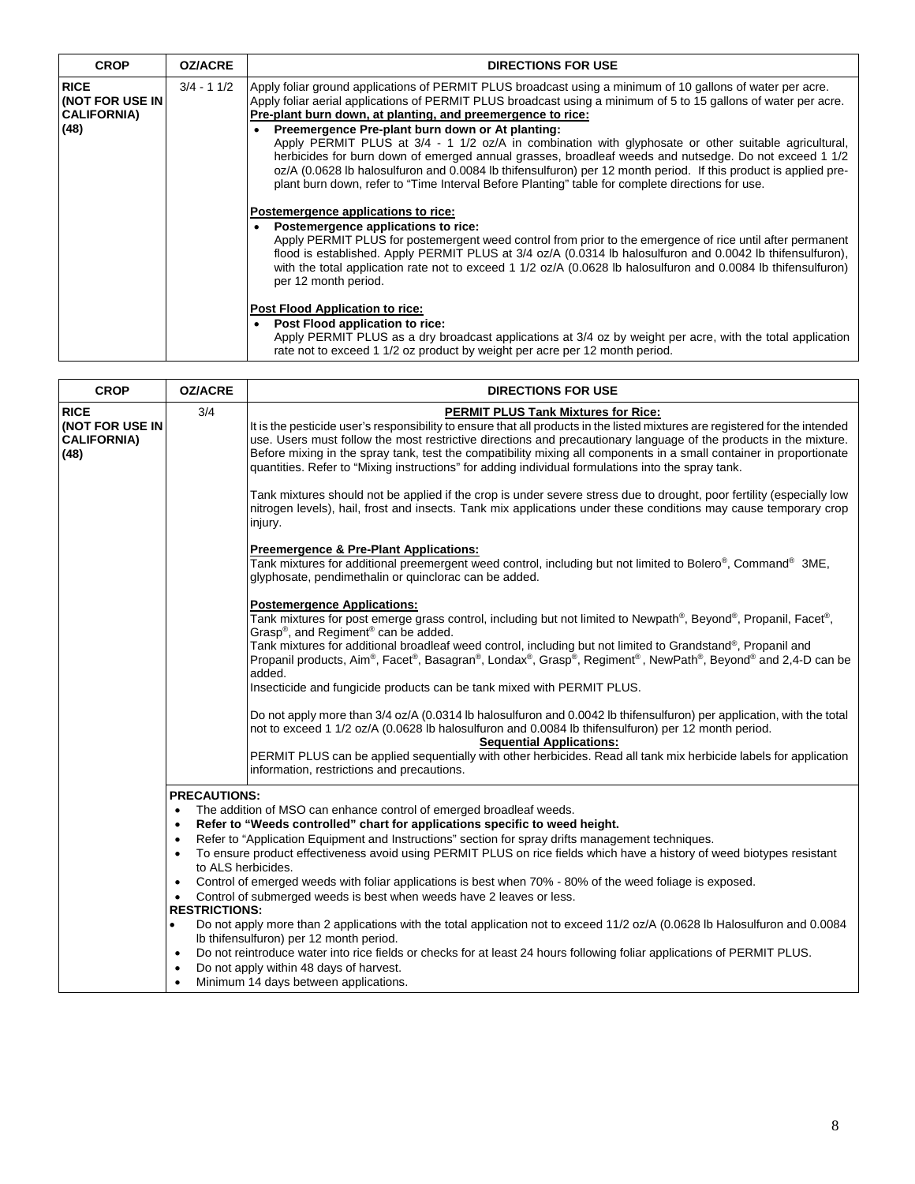| <b>CROP</b>                                                  | <b>OZ/ACRE</b> | <b>DIRECTIONS FOR USE</b>                                                                                                                                                                                                                                                                                                                                                                                                                                                                                                                                                                                                                                                                                                                                                                                                                                                                                                                                                                                                                                                                                                                                                                                                                                                                                                                                                                                                                                              |
|--------------------------------------------------------------|----------------|------------------------------------------------------------------------------------------------------------------------------------------------------------------------------------------------------------------------------------------------------------------------------------------------------------------------------------------------------------------------------------------------------------------------------------------------------------------------------------------------------------------------------------------------------------------------------------------------------------------------------------------------------------------------------------------------------------------------------------------------------------------------------------------------------------------------------------------------------------------------------------------------------------------------------------------------------------------------------------------------------------------------------------------------------------------------------------------------------------------------------------------------------------------------------------------------------------------------------------------------------------------------------------------------------------------------------------------------------------------------------------------------------------------------------------------------------------------------|
| <b>RICE</b><br>KNOT FOR USE IN<br><b>CALIFORNIA)</b><br>(48) | $3/4 - 11/2$   | Apply foliar ground applications of PERMIT PLUS broadcast using a minimum of 10 gallons of water per acre.<br>Apply foliar aerial applications of PERMIT PLUS broadcast using a minimum of 5 to 15 gallons of water per acre.<br>Pre-plant burn down, at planting, and preemergence to rice:<br>Preemergence Pre-plant burn down or At planting:<br>$\bullet$<br>Apply PERMIT PLUS at 3/4 - 1 1/2 oz/A in combination with glyphosate or other suitable agricultural,<br>herbicides for burn down of emerged annual grasses, broadleaf weeds and nutsedge. Do not exceed 1 1/2<br>oz/A (0.0628 lb halosulfuron and 0.0084 lb thifensulfuron) per 12 month period. If this product is applied pre-<br>plant burn down, refer to "Time Interval Before Planting" table for complete directions for use.<br>Postemergence applications to rice:<br>Postemergence applications to rice:<br>$\bullet$<br>Apply PERMIT PLUS for postemergent weed control from prior to the emergence of rice until after permanent<br>flood is established. Apply PERMIT PLUS at 3/4 oz/A (0.0314 lb halosulfuron and 0.0042 lb thifensulfuron),<br>with the total application rate not to exceed 1 1/2 oz/A (0.0628 lb halosulfuron and 0.0084 lb thifensulfuron)<br>per 12 month period.<br>Post Flood Application to rice:<br>Post Flood application to rice:<br>$\bullet$<br>Apply PERMIT PLUS as a dry broadcast applications at 3/4 oz by weight per acre, with the total application |
|                                                              |                | rate not to exceed 1 1/2 oz product by weight per acre per 12 month period.                                                                                                                                                                                                                                                                                                                                                                                                                                                                                                                                                                                                                                                                                                                                                                                                                                                                                                                                                                                                                                                                                                                                                                                                                                                                                                                                                                                            |

| <b>CROP</b>                                                  | <b>OZ/ACRE</b>       | <b>DIRECTIONS FOR USE</b>                                                                                                                                                                                                                                                                                                                                                                                                                                                                                                    |
|--------------------------------------------------------------|----------------------|------------------------------------------------------------------------------------------------------------------------------------------------------------------------------------------------------------------------------------------------------------------------------------------------------------------------------------------------------------------------------------------------------------------------------------------------------------------------------------------------------------------------------|
| <b>RICE</b><br>(NOT FOR USE IN<br><b>CALIFORNIA)</b><br>(48) | 3/4                  | <b>PERMIT PLUS Tank Mixtures for Rice:</b><br>It is the pesticide user's responsibility to ensure that all products in the listed mixtures are registered for the intended<br>use. Users must follow the most restrictive directions and precautionary language of the products in the mixture.<br>Before mixing in the spray tank, test the compatibility mixing all components in a small container in proportionate<br>quantities. Refer to "Mixing instructions" for adding individual formulations into the spray tank. |
|                                                              |                      | Tank mixtures should not be applied if the crop is under severe stress due to drought, poor fertility (especially low<br>nitrogen levels), hail, frost and insects. Tank mix applications under these conditions may cause temporary crop<br>injury.                                                                                                                                                                                                                                                                         |
|                                                              |                      | <b>Preemergence &amp; Pre-Plant Applications:</b><br>Tank mixtures for additional preemergent weed control, including but not limited to Bolero®, Command® 3ME,<br>glyphosate, pendimethalin or quinclorac can be added.                                                                                                                                                                                                                                                                                                     |
|                                                              |                      | <b>Postemergence Applications:</b><br>Tank mixtures for post emerge grass control, including but not limited to Newpath®, Beyond®, Propanil, Facet®,<br>Grasp®, and Regiment® can be added.                                                                                                                                                                                                                                                                                                                                  |
|                                                              |                      | Tank mixtures for additional broadleaf weed control, including but not limited to Grandstand®, Propanil and<br>Propanil products, Aim®, Facet®, Basagran®, Londax®, Grasp®, Regiment®, NewPath®, Beyond® and 2,4-D can be<br>added.                                                                                                                                                                                                                                                                                          |
|                                                              |                      | Insecticide and fungicide products can be tank mixed with PERMIT PLUS.                                                                                                                                                                                                                                                                                                                                                                                                                                                       |
|                                                              |                      | Do not apply more than 3/4 oz/A (0.0314 lb halosulfuron and 0.0042 lb thifensulfuron) per application, with the total<br>not to exceed 1 1/2 oz/A (0.0628 lb halosulfuron and 0.0084 lb thifensulfuron) per 12 month period.<br><b>Sequential Applications:</b>                                                                                                                                                                                                                                                              |
|                                                              |                      | PERMIT PLUS can be applied sequentially with other herbicides. Read all tank mix herbicide labels for application<br>information, restrictions and precautions.                                                                                                                                                                                                                                                                                                                                                              |
|                                                              | <b>PRECAUTIONS:</b>  |                                                                                                                                                                                                                                                                                                                                                                                                                                                                                                                              |
|                                                              | $\bullet$            | The addition of MSO can enhance control of emerged broadleaf weeds.<br>Refer to "Weeds controlled" chart for applications specific to weed height.                                                                                                                                                                                                                                                                                                                                                                           |
|                                                              | $\bullet$            | Refer to "Application Equipment and Instructions" section for spray drifts management techniques.                                                                                                                                                                                                                                                                                                                                                                                                                            |
|                                                              | to ALS herbicides.   | To ensure product effectiveness avoid using PERMIT PLUS on rice fields which have a history of weed biotypes resistant                                                                                                                                                                                                                                                                                                                                                                                                       |
|                                                              |                      | Control of emerged weeds with foliar applications is best when 70% - 80% of the weed foliage is exposed.                                                                                                                                                                                                                                                                                                                                                                                                                     |
|                                                              | <b>RESTRICTIONS:</b> | Control of submerged weeds is best when weeds have 2 leaves or less.                                                                                                                                                                                                                                                                                                                                                                                                                                                         |
|                                                              | $\bullet$            | Do not apply more than 2 applications with the total application not to exceed 11/2 oz/A (0.0628 lb Halosulfuron and 0.0084                                                                                                                                                                                                                                                                                                                                                                                                  |
|                                                              | $\bullet$            | Ib thifensulfuron) per 12 month period.<br>Do not reintroduce water into rice fields or checks for at least 24 hours following foliar applications of PERMIT PLUS.<br>Do not apply within 48 days of harvest.                                                                                                                                                                                                                                                                                                                |
|                                                              | $\bullet$            | Minimum 14 days between applications.                                                                                                                                                                                                                                                                                                                                                                                                                                                                                        |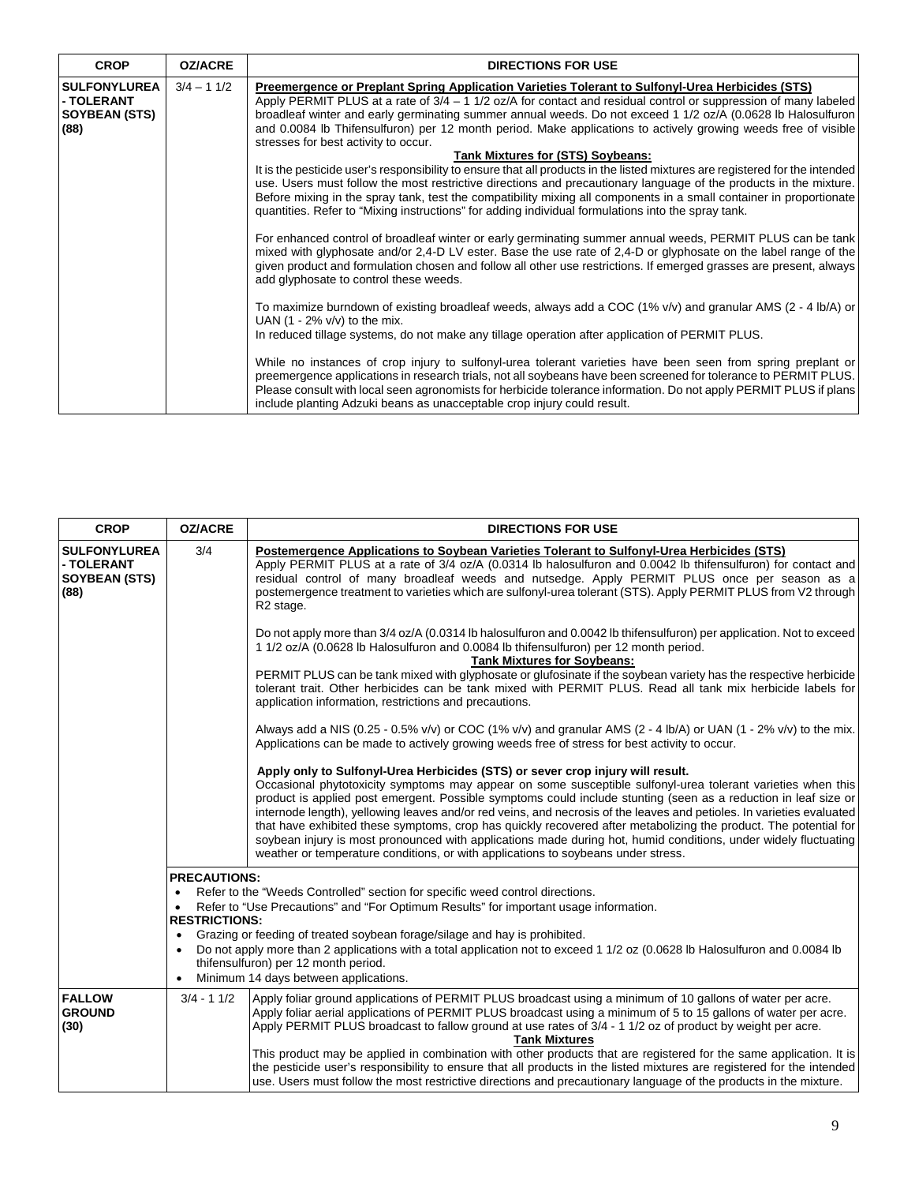| <b>CROP</b>                                                       | <b>OZ/ACRE</b> | <b>DIRECTIONS FOR USE</b>                                                                                                                                                                                                                                                                                                                                                                                                                                                                                                                                                                                                                                                                                                                                                                                                                                                                                                                                                                                              |
|-------------------------------------------------------------------|----------------|------------------------------------------------------------------------------------------------------------------------------------------------------------------------------------------------------------------------------------------------------------------------------------------------------------------------------------------------------------------------------------------------------------------------------------------------------------------------------------------------------------------------------------------------------------------------------------------------------------------------------------------------------------------------------------------------------------------------------------------------------------------------------------------------------------------------------------------------------------------------------------------------------------------------------------------------------------------------------------------------------------------------|
| <b>SULFONYLUREA</b><br>- TOLERANT<br><b>SOYBEAN (STS)</b><br>(88) | $3/4 - 11/2$   | Preemergence or Preplant Spring Application Varieties Tolerant to Sulfonyl-Urea Herbicides (STS)<br>Apply PERMIT PLUS at a rate of $3/4 - 1$ 1/2 oz/A for contact and residual control or suppression of many labeled<br>broadleaf winter and early germinating summer annual weeds. Do not exceed 1 1/2 oz/A (0.0628 lb Halosulfuron<br>and 0.0084 lb Thifensulfuron) per 12 month period. Make applications to actively growing weeds free of visible<br>stresses for best activity to occur.<br>Tank Mixtures for (STS) Soybeans:<br>It is the pesticide user's responsibility to ensure that all products in the listed mixtures are registered for the intended<br>use. Users must follow the most restrictive directions and precautionary language of the products in the mixture.<br>Before mixing in the spray tank, test the compatibility mixing all components in a small container in proportionate<br>quantities. Refer to "Mixing instructions" for adding individual formulations into the spray tank. |
|                                                                   |                | For enhanced control of broadleaf winter or early germinating summer annual weeds, PERMIT PLUS can be tank<br>mixed with glyphosate and/or 2,4-D LV ester. Base the use rate of 2,4-D or glyphosate on the label range of the<br>given product and formulation chosen and follow all other use restrictions. If emerged grasses are present, always<br>add glyphosate to control these weeds.<br>To maximize burndown of existing broadleaf weeds, always add a COC (1% v/v) and granular AMS (2 - 4 lb/A) or<br>UAN $(1 - 2\% v/v)$ to the mix.<br>In reduced tillage systems, do not make any tillage operation after application of PERMIT PLUS.<br>While no instances of crop injury to sulfonyl-urea tolerant varieties have been seen from spring preplant or                                                                                                                                                                                                                                                    |
|                                                                   |                | preemergence applications in research trials, not all soybeans have been screened for tolerance to PERMIT PLUS.<br>Please consult with local seen agronomists for herbicide tolerance information. Do not apply PERMIT PLUS if plans<br>include planting Adzuki beans as unacceptable crop injury could result.                                                                                                                                                                                                                                                                                                                                                                                                                                                                                                                                                                                                                                                                                                        |

| <b>CROP</b>                                                       | <b>OZ/ACRE</b>                                                                     | <b>DIRECTIONS FOR USE</b>                                                                                                                                                                                                                                                                                                                                                                                                                                                                                                                                                                                                                                                                                                                                             |
|-------------------------------------------------------------------|------------------------------------------------------------------------------------|-----------------------------------------------------------------------------------------------------------------------------------------------------------------------------------------------------------------------------------------------------------------------------------------------------------------------------------------------------------------------------------------------------------------------------------------------------------------------------------------------------------------------------------------------------------------------------------------------------------------------------------------------------------------------------------------------------------------------------------------------------------------------|
| <b>SULFONYLUREA</b><br>- TOLERANT<br><b>SOYBEAN (STS)</b><br>(88) | 3/4                                                                                | Postemergence Applications to Soybean Varieties Tolerant to Sulfonyl-Urea Herbicides (STS)<br>Apply PERMIT PLUS at a rate of 3/4 oz/A (0.0314 lb halosulfuron and 0.0042 lb thifensulfuron) for contact and<br>residual control of many broadleaf weeds and nutsedge. Apply PERMIT PLUS once per season as a<br>postemergence treatment to varieties which are sulfonyl-urea tolerant (STS). Apply PERMIT PLUS from V2 through<br>R <sub>2</sub> stage.                                                                                                                                                                                                                                                                                                               |
|                                                                   |                                                                                    | Do not apply more than 3/4 oz/A (0.0314 lb halosulfuron and 0.0042 lb thifensulfuron) per application. Not to exceed<br>1 1/2 oz/A (0.0628 lb Halosulfuron and 0.0084 lb thifensulfuron) per 12 month period.<br><b>Tank Mixtures for Soybeans:</b><br>PERMIT PLUS can be tank mixed with glyphosate or glufosinate if the soybean variety has the respective herbicide<br>tolerant trait. Other herbicides can be tank mixed with PERMIT PLUS. Read all tank mix herbicide labels for<br>application information, restrictions and precautions.                                                                                                                                                                                                                      |
|                                                                   |                                                                                    | Always add a NIS (0.25 - 0.5% v/v) or COC (1% v/v) and granular AMS (2 - 4 lb/A) or UAN (1 - 2% v/v) to the mix.<br>Applications can be made to actively growing weeds free of stress for best activity to occur.                                                                                                                                                                                                                                                                                                                                                                                                                                                                                                                                                     |
|                                                                   |                                                                                    | Apply only to Sulfonyl-Urea Herbicides (STS) or sever crop injury will result.<br>Occasional phytotoxicity symptoms may appear on some susceptible sulfonyl-urea tolerant varieties when this<br>product is applied post emergent. Possible symptoms could include stunting (seen as a reduction in leaf size or<br>internode length), yellowing leaves and/or red veins, and necrosis of the leaves and petioles. In varieties evaluated<br>that have exhibited these symptoms, crop has quickly recovered after metabolizing the product. The potential for<br>soybean injury is most pronounced with applications made during hot, humid conditions, under widely fluctuating<br>weather or temperature conditions, or with applications to soybeans under stress. |
|                                                                   | <b>PRECAUTIONS:</b><br>$\bullet$<br><b>RESTRICTIONS:</b><br>$\bullet$<br>$\bullet$ | Refer to the "Weeds Controlled" section for specific weed control directions.<br>Refer to "Use Precautions" and "For Optimum Results" for important usage information.<br>Grazing or feeding of treated soybean forage/silage and hay is prohibited.<br>Do not apply more than 2 applications with a total application not to exceed 1 1/2 oz (0.0628 lb Halosulfuron and 0.0084 lb<br>thifensulfuron) per 12 month period.<br>Minimum 14 days between applications.                                                                                                                                                                                                                                                                                                  |
| <b>FALLOW</b><br><b>GROUND</b><br>(30)                            | $3/4 - 11/2$                                                                       | Apply foliar ground applications of PERMIT PLUS broadcast using a minimum of 10 gallons of water per acre.<br>Apply foliar aerial applications of PERMIT PLUS broadcast using a minimum of 5 to 15 gallons of water per acre.<br>Apply PERMIT PLUS broadcast to fallow ground at use rates of 3/4 - 1 1/2 oz of product by weight per acre.<br><b>Tank Mixtures</b><br>This product may be applied in combination with other products that are registered for the same application. It is<br>the pesticide user's responsibility to ensure that all products in the listed mixtures are registered for the intended<br>use. Users must follow the most restrictive directions and precautionary language of the products in the mixture.                              |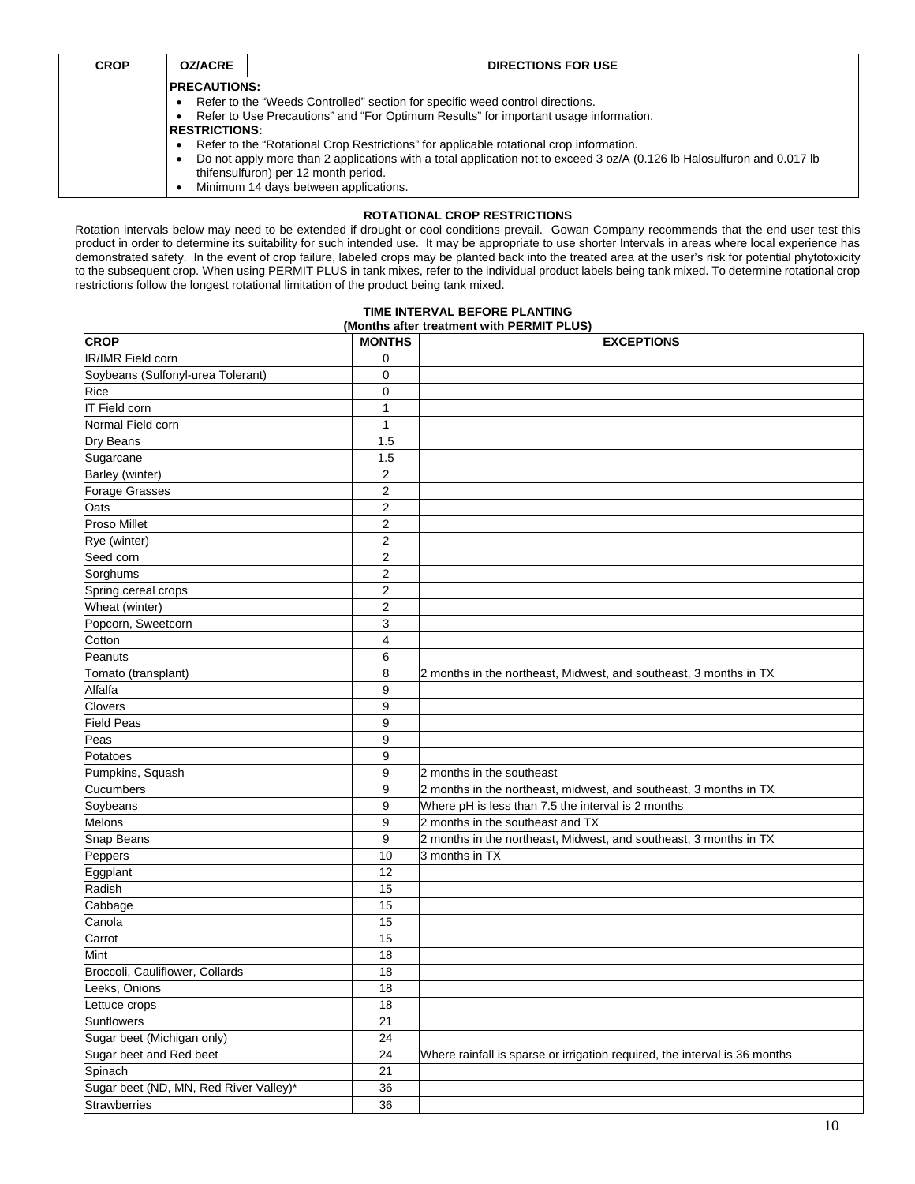| <b>CROP</b> | <b>OZ/ACRE</b>                              | <b>DIRECTIONS FOR USE</b>                                                                                                                                                                                                                                                                                                                                                                                                           |
|-------------|---------------------------------------------|-------------------------------------------------------------------------------------------------------------------------------------------------------------------------------------------------------------------------------------------------------------------------------------------------------------------------------------------------------------------------------------------------------------------------------------|
|             | <b>PRECAUTIONS:</b><br><b>RESTRICTIONS:</b> | Refer to the "Weeds Controlled" section for specific weed control directions.<br>Refer to Use Precautions" and "For Optimum Results" for important usage information.<br>Refer to the "Rotational Crop Restrictions" for applicable rotational crop information.<br>Do not apply more than 2 applications with a total application not to exceed 3 oz/A (0.126 lb Halosulfuron and 0.017 lb<br>thifensulfuron) per 12 month period. |
|             |                                             | Minimum 14 days between applications.                                                                                                                                                                                                                                                                                                                                                                                               |

## **ROTATIONAL CROP RESTRICTIONS**

Rotation intervals below may need to be extended if drought or cool conditions prevail. Gowan Company recommends that the end user test this product in order to determine its suitability for such intended use. It may be appropriate to use shorter Intervals in areas where local experience has demonstrated safety. In the event of crop failure, labeled crops may be planted back into the treated area at the user's risk for potential phytotoxicity to the subsequent crop. When using PERMIT PLUS in tank mixes, refer to the individual product labels being tank mixed. To determine rotational crop restrictions follow the longest rotational limitation of the product being tank mixed.

#### **TIME INTERVAL BEFORE PLANTING (Months after treatment with PERMIT PLUS)**

| <b>CROP</b>                            | <b>MONTHS</b>  | <b>EXCEPTIONS</b>                                                          |
|----------------------------------------|----------------|----------------------------------------------------------------------------|
| IR/IMR Field corn                      | 0              |                                                                            |
| Soybeans (Sulfonyl-urea Tolerant)      | 0              |                                                                            |
| Rice                                   | 0              |                                                                            |
| IT Field corn                          | $\mathbf{1}$   |                                                                            |
| Normal Field corn                      | 1              |                                                                            |
| Dry Beans                              | 1.5            |                                                                            |
| Sugarcane                              | 1.5            |                                                                            |
| Barley (winter)                        | $\overline{2}$ |                                                                            |
| <b>Forage Grasses</b>                  | $\overline{c}$ |                                                                            |
| Oats                                   | $\overline{2}$ |                                                                            |
| <b>Proso Millet</b>                    | $\mathbf 2$    |                                                                            |
| Rye (winter)                           | $\overline{2}$ |                                                                            |
| Seed corn                              | 2              |                                                                            |
| Sorghums                               | $\overline{2}$ |                                                                            |
| Spring cereal crops                    | $\overline{2}$ |                                                                            |
| Wheat (winter)                         | $\mathbf 2$    |                                                                            |
| Popcorn, Sweetcorn                     | 3              |                                                                            |
| Cotton                                 | 4              |                                                                            |
| Peanuts                                | 6              |                                                                            |
| Tomato (transplant)                    | 8              | 2 months in the northeast, Midwest, and southeast, 3 months in TX          |
| Alfalfa                                | 9              |                                                                            |
| <b>Clovers</b>                         | 9              |                                                                            |
| <b>Field Peas</b>                      | 9              |                                                                            |
| Peas                                   | 9              |                                                                            |
| Potatoes                               | 9              |                                                                            |
| Pumpkins, Squash                       | 9              | 2 months in the southeast                                                  |
| <b>Cucumbers</b>                       | 9              | 2 months in the northeast, midwest, and southeast, 3 months in TX          |
| Soybeans                               | 9              | Where pH is less than 7.5 the interval is 2 months                         |
| Melons                                 | 9              | 2 months in the southeast and TX                                           |
| Snap Beans                             | 9              | 2 months in the northeast, Midwest, and southeast, 3 months in TX          |
| Peppers                                | 10             | 3 months in TX                                                             |
| Eggplant                               | 12             |                                                                            |
| Radish                                 | 15             |                                                                            |
| Cabbage                                | 15             |                                                                            |
| Canola                                 | 15             |                                                                            |
| Carrot                                 | 15             |                                                                            |
| Mint                                   | 18             |                                                                            |
| Broccoli, Cauliflower, Collards        | 18             |                                                                            |
| Leeks, Onions                          | 18             |                                                                            |
| Lettuce crops                          | 18             |                                                                            |
| Sunflowers                             | 21             |                                                                            |
| Sugar beet (Michigan only)             | 24             |                                                                            |
| Sugar beet and Red beet                | 24             | Where rainfall is sparse or irrigation required, the interval is 36 months |
| Spinach                                | 21             |                                                                            |
| Sugar beet (ND, MN, Red River Valley)* | 36             |                                                                            |
| Strawberries                           | 36             |                                                                            |